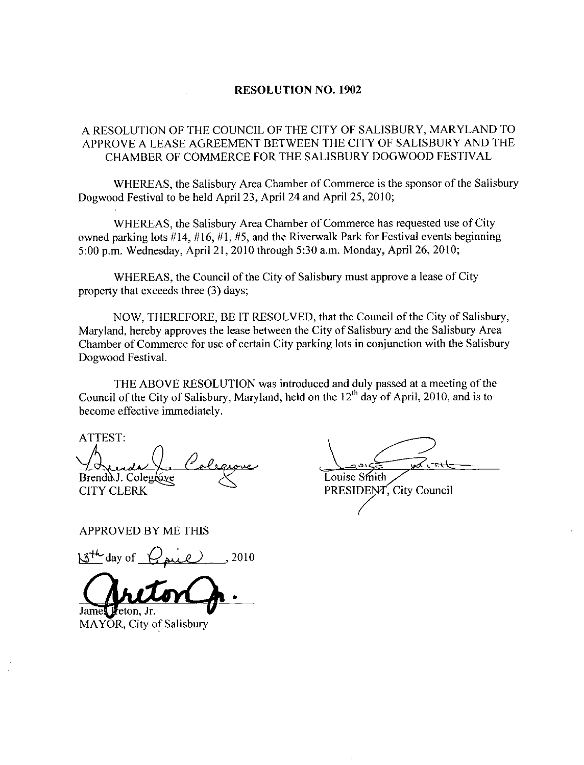## RESOLUTION NO. 1902

## A RESOLUTION OF THE COUNCIL OF THE CITY OF SALISBURY APPROVE A LEASE AGREEMENT BETWEEN THE CITY OF SALISBURY AND THE OF THE<br>SE AGR<br>OF COMI MARYLAND TO<br>BURY AND THE CHAMBER OF COMMERCE FOR THE SALISBURY DOGWOOD FESTNAL

WHEREAS, the Salisbury Area Chamber of Commerce is the sponsor of the Salisbury Dogwood Festival to be held April 23, April 24 and April 25, 2010;

WHEREAS, the Salisbury Area Chamber of Commerce has requested use of City WHEREAS, the Salisbury Area Chamber of Commerce has requested use of City<br>owned parking lots #14, #16, #1, #5, and the Riverwalk Park for Festival events beginning<br>5:00 p.m. Wednesday, April 21, 2010 through 5:30 a.m. Mond

WHEREAS, the Council of the City of Salisbury must approve a lease of City property that exceeds three  $(3)$  days;

NOW, THEREFORE, BE IT RESOLVED, that the Council of the City of Salisbury, Maryland, hereby approves the lease between the City of Salisbury and the Salisbury Area Chamber of Commerce for use of certain City parking lots in conjunction with the Salisbury Dogwood Festival

THE ABOVE RESOLUTION was introduced and duly passed at a meeting of the Council of the City of Salisbury, Maryland, held on the  $12^{th}$  day of April, 2010, and is to become effective immediately.<br>ATTEST: become effective immediately

Brenda J. Colegrave  $\leq$  Louise Smith<br>CITY CLERK PRESIDENT

PRESIDENT, City Council

APPROVED BY ME THIS

 $13^{44}$  day of  $\sqrt{2}$  and  $2010$ 

James Freton. Jr.

MAYOR, City of Salisbury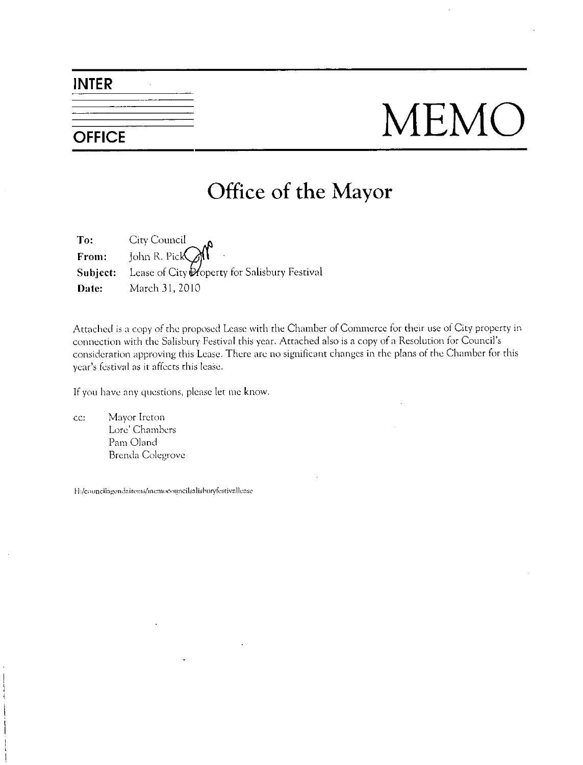## INTER

# OFFICE MEMO

## Office of the Mayor

To: City Council From: John R. Pick Subject: Lease of City Property for Salisbury Festival Date: March 31, 2010

Attached is a copy of the proposed Lease with the Chamber of Commerce for their use of City property in connection with the Salisbury Festival this year. Attached also is a copy of a Resolution for Council's consideration approving this Lease. There are no significant changes in the plans of the Chamber for this connection with the Salisbury Festi<br>consideration approving this Lease.<br>year's festival as it affects this lease. Experimentation with the Salisbury Festival this yeonsideration approving this Lease. There a<br>vear's festival as it affects this lease.<br>If you have any questions, please let me knc<br>cc: Mayor Ireton<br>Lore' Chambers<br>Pam Oland

If you have any questions, please let me know.

cc: Mayor Ireton Lore' Chambers Pam Oland Brenda Colegrovc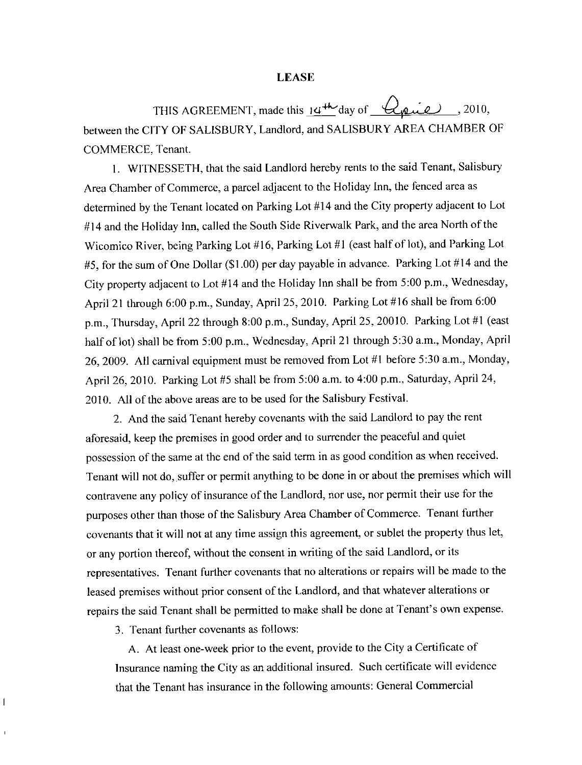### LEASE

THIS AGREEMENT, made this  $14^{46}$  day of  $\sqrt{2010}$ , 2010, between the CITY OF SALISBURY, Landlord, and SALISBURY AREA CHAMBER OF COMMERCE, Tenant.

1. WITNESSETH, that the said Landlord hereby rents to the said Tenant, Salisbury Area Chamber of Commerce, a parcel adjacent to the Holiday Inn, the fenced area as determined by the Tenant located on Parking Lot #14 and the City property adjacent to Lot #14 and the Holiday Inn, called the South Side Riverwalk Park, and the area North of the Wicomico River, being Parking Lot #16, Parking Lot #1 (east half of lot), and Parking Lot #14 and the Holiday Inn, called the South Side Riverwalk Park, and the area North of the<br>Wicomico River, being Parking Lot #16, Parking Lot #1 (east half of lot), and Parking Lot<br>#5, for the sum of One Dollar (\$1.00) per #5, for the sum of One Dollar (\$1.00) per day payable in advance. Parking Lot #14 and the City property adjacent to Lot #14 and the Holiday Inn shall be from 5:00 p.m., Wednesday, City property adjacent to Lot #14 and the Holiday Inn shall be from 5:00 p.m., Wednesday April 21 through 6:00 p.m., Sunday, April 25, 2010. Parking Lot #16 shall be from 6:00 April 21 through 6:00 p.m., Sunday, April 25, 2010. Parking Lot #16 shall be from 6:<br>p.m., Thursday, April 22 through 8:00 p.m., Sunday, April 25, 20010. Parking Lot #1 east half of lot) shall be from 5:00 p.m., Wednesday, April 21 through 5:30 a.m., Monday, April 26 a.c. 2000am. Monday April 21 through 5:30 a.m., Monday, April 21 through 5:30 a.m., Monday, April 21 through 5:30 a.m., Monday, half of lot) shall be from 5:00 p.m., Wednesday, April 21 through 5:30 a.m., Monday, April 26, 2009. All carnival equipment must be removed from Lot #1 before 5:30 a.m., Monday, 26, 2009. All carnival equipment must be removed from Lot #1 before 5:30 a.m., Monday, April 26, 2010. Parking Lot #5 shall be from 5:00 a.m. to 4:00 p.m., Saturday, April 24, 2010. All of the above areas are to be used for the Salisbury Festival.

2 And the said Tenant hereby covenants with the said Landlord to pay the rent aforesaid, keep the premises in good order and to surrender the peaceful and quiet possession of the same at the end of the said term in as good condition as when received Tenant will not do, suffer or permit anything to be done in or about the premises which will contravene any policy of insurance of the Landlord, nor use, nor permit their use for the purposes other than those of the Salisbury Area Chamber of Commerce. Tenant further covenants that it will not at any time assign this agreement, or sublet the property thus let, or any portion thereof, without the consent in writing of the said Landlord, or its representatives. Tenant further covenants that no alterations or repairs will be made to the leased premises without prior consent of the Landlord, and that whatever alterations or or any portion thereor, without the consent in writing or the said Landiond, or its<br>representatives. Tenant further covenants that no alterations or repairs will be made to the<br>leased premises without prior consent of the

3. Tenant further covenants as follows:

A. At least one-week prior to the event, provide to the City a Certificate of Insurance naming the City as an additional insured. Such certificate will evidence that the Tenant has insurance in the following amounts: General Commercial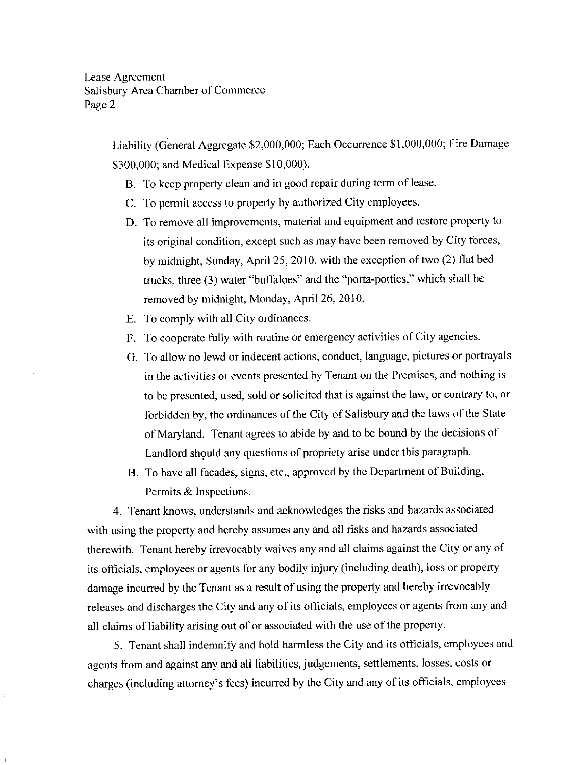Agreement<br>
2<br>
Liability (General Aggregate \$2,000,000; Each Occurrence \$1,000,000; Fire Damage<br>
\$300,000; and Medical Expense \$10,000).

- B. To keep property clean and in good repair during term of lease.
- C. To permit access to property by authorized City employees.
- D. To remove all improvements, material and equipment and restore property to its original condition, except such as may have been removed by City forces, by midnight, Sunday, April 25, 2010, with the exception of two (2) flat bed by midnight, sunday, April 25, 2010, with the exception of two  $(2)$  had be trucks, three  $(3)$  water "buffaloes" and the "porta-potties," which shall be removed by midnight, Monday, April 26, 2010.
- E. To comply with all City ordinances.
- F. To cooperate fully with routine or emergency activities of City agencies.
- G. To allow no lewd or indecent actions, conduct, language, pictures or portrayals in the activities or events presented by Tenant on the Premises, and nothing is to be presented, used, sold or solicited that is against the law, or contrary to, or forbidden by, the ordinances of the City of Salisbury and the laws of the State of Maryland. Tenant agrees to abide by and to be bound by the decisions of Landlord should any questions of propriety arise under this paragraph.
- H. To have all facades, signs, etc., approved by the Department of Building, Permits & Inspections.

4. Tenant knows, understands and acknowledges the risks and hazards associated with using the property and hereby assumes any and all risks and hazards associated therewith. Tenant hereby irrevocably waives any and all claims against the City or any of its officials, employees or agents for any bodily injury (including death), loss or property damage incurred by the Tenant as aresult of using the property and hereby irrevocably releases and discharges the City and any of its officials, employees or agents from any and all claims of liability arising out of or associated with the use of the property

5 Tenant shall indemnify and hold harmless the City and its officials employees and agents from and against any and all liabilities, judgements, settlements, losses, costs or charges (including attorney's fees) incurred by the City and any of its officials, employees